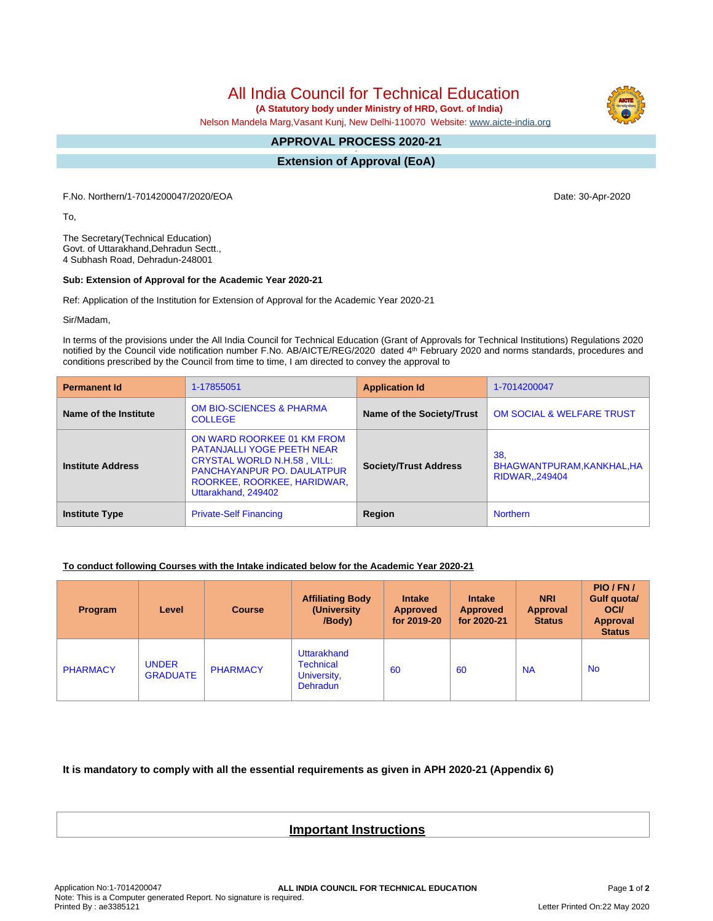All India Council for Technical Education

 **(A Statutory body under Ministry of HRD, Govt. of India)**

Nelson Mandela Marg,Vasant Kunj, New Delhi-110070 Website: [www.aicte-india.org](http://www.aicte-india.org)

## **APPROVAL PROCESS 2020-21 -**

**Extension of Approval (EoA)**

F.No. Northern/1-7014200047/2020/EOA Date: 30-Apr-2020

To,

The Secretary(Technical Education) Govt. of Uttarakhand,Dehradun Sectt., 4 Subhash Road, Dehradun-248001

## **Sub: Extension of Approval for the Academic Year 2020-21**

Ref: Application of the Institution for Extension of Approval for the Academic Year 2020-21

Sir/Madam,

In terms of the provisions under the All India Council for Technical Education (Grant of Approvals for Technical Institutions) Regulations 2020 notified by the Council vide notification number F.No. AB/AICTE/REG/2020 dated 4<sup>th</sup> February 2020 and norms standards, procedures and conditions prescribed by the Council from time to time, I am directed to convey the approval to

| <b>Permanent Id</b>      | 1-17855051                                                                                                                                                                                       | <b>Application Id</b>        | 1-7014200047                                      |  |
|--------------------------|--------------------------------------------------------------------------------------------------------------------------------------------------------------------------------------------------|------------------------------|---------------------------------------------------|--|
| Name of the Institute    | <b>OM BIO-SCIENCES &amp; PHARMA</b><br><b>COLLEGE</b>                                                                                                                                            | Name of the Society/Trust    | <b>OM SOCIAL &amp; WELFARE TRUST</b>              |  |
| <b>Institute Address</b> | ON WARD ROORKEE 01 KM FROM<br><b>PATANJALLI YOGE PEETH NEAR</b><br><b>CRYSTAL WORLD N.H.58, VILL:</b><br><b>PANCHAYANPUR PO. DAULATPUR</b><br>ROORKEE, ROORKEE, HARIDWAR,<br>Uttarakhand, 249402 | <b>Society/Trust Address</b> | 38.<br>BHAGWANTPURAM, KANKHAL, HA<br>RIDWAR249404 |  |
| <b>Institute Type</b>    | <b>Private-Self Financing</b>                                                                                                                                                                    | Region                       | <b>Northern</b>                                   |  |

## **To conduct following Courses with the Intake indicated below for the Academic Year 2020-21**

| Program         | Level                           | <b>Course</b>   | <b>Affiliating Body</b><br>(University)<br>/Body)                 | <b>Intake</b><br><b>Approved</b><br>for 2019-20 | <b>Intake</b><br><b>Approved</b><br>for 2020-21 | <b>NRI</b><br>Approval<br><b>Status</b> | PIO/FN/<br>Gulf quota/<br><b>OCI</b><br><b>Approval</b><br><b>Status</b> |
|-----------------|---------------------------------|-----------------|-------------------------------------------------------------------|-------------------------------------------------|-------------------------------------------------|-----------------------------------------|--------------------------------------------------------------------------|
| <b>PHARMACY</b> | <b>UNDER</b><br><b>GRADUATE</b> | <b>PHARMACY</b> | Uttarakhand<br><b>Technical</b><br>University,<br><b>Dehradun</b> | 60                                              | 60                                              | <b>NA</b>                               | <b>No</b>                                                                |

**It is mandatory to comply with all the essential requirements as given in APH 2020-21 (Appendix 6)**

## **Important Instructions**